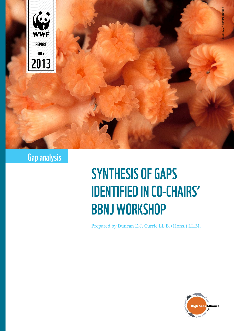

# Gap analysis

# **SYNTHESIS OF GAPS IDENTIFIED IN CO-CHAIRS' BBNJ WORKSHOP**

Prepared by Duncan E.J. Currie LL.B. (Hons.) LL.M.

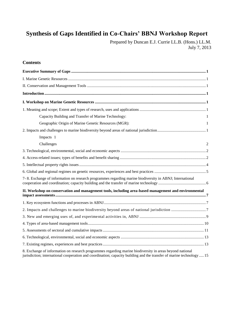# **Synthesis of Gaps Identified in Co-Chairs' BBNJ Workshop Report**

Prepared by Duncan E.J. Currie LL.B. (Hons.) LL.M. July 7, 2013

#### **Contents**

| Capacity Building and Transfer of Marine Technology:                                                                                                                                                                             |
|----------------------------------------------------------------------------------------------------------------------------------------------------------------------------------------------------------------------------------|
| Geographic Origin of Marine Genetic Resources (MGR):<br>$\mathbf{1}$                                                                                                                                                             |
|                                                                                                                                                                                                                                  |
| Impacts 1                                                                                                                                                                                                                        |
| Challenges<br>2                                                                                                                                                                                                                  |
|                                                                                                                                                                                                                                  |
|                                                                                                                                                                                                                                  |
|                                                                                                                                                                                                                                  |
|                                                                                                                                                                                                                                  |
| 7-8. Exchange of information on research programmes regarding marine biodiversity in ABNJ; International                                                                                                                         |
| II. Workshop on conservation and management tools, including area-based management and environmental                                                                                                                             |
|                                                                                                                                                                                                                                  |
|                                                                                                                                                                                                                                  |
|                                                                                                                                                                                                                                  |
|                                                                                                                                                                                                                                  |
|                                                                                                                                                                                                                                  |
|                                                                                                                                                                                                                                  |
|                                                                                                                                                                                                                                  |
| 8. Exchange of information on research programmes regarding marine biodiversity in areas beyond national<br>jurisdiction; international cooperation and coordination; capacity building and the transfer of marine technology 15 |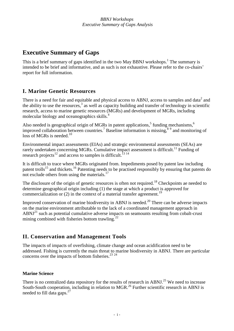# <span id="page-2-0"></span>**Executive Summary of Gaps**

This is a brief summary of gaps identified in the two May BBNJ workshops.<sup>1</sup> The summary is intended to be brief and informative, and as such is not exhaustive. Please refer to the co-chairs' report for full information.

# <span id="page-2-1"></span>**I. Marine Genetic Resources**

There is a need for fair and equitable and physical access to ABNJ, access to samples and data<sup>2</sup> and the ability to use the resources,<sup>3</sup> as well as capacity building and transfer of technology in scientific research, access to marine genetic resources (MGRs) and development of MGRs, including molecular biology and oceanographics skills.<sup>4</sup>

Also needed is geographical origin of MGRs in patent applications,<sup>5</sup> funding mechanisms,<sup>6</sup> improved collaboration between countries.<sup>7</sup> Baseline information is missing,<sup>89</sup> and monitoring of loss of MGRs is needed.<sup>10</sup>

Environmental impact assessments (EIAs) and strategic environmental assessments (SEAs) are rarely undertaken concerning MGRs. Cumulative impact assessment is difficult.<sup>11</sup> Funding of research projects<sup>12</sup> and access to samples is difficult.<sup>13 14</sup>

It is difficult to trace where MGRs originated from. Impediments posed by patent law including patent trolls<sup>15</sup> and thickets.<sup>16</sup> Patenting needs to be practised responsibly by ensuring that patents do not exclude others from using the materials.<sup>17</sup>

The disclosure of the origin of genetic resources is often not required.<sup>18</sup> Checkpoints ae needed to determine geographical origin including (1) the stage at which a product is approved for commercialization or (2) in the context of a material transfer agreement.<sup>19</sup>

Improved conservation of marine biodiversity in ABNJ is needed.<sup>20</sup> There can be adverse impacts on the marine environment attributable to the lack of a coordinated management approach in  $ABNJ<sup>21</sup>$  such as potential cumulative adverse impacts on seamounts resulting from cobalt-crust mining combined with fisheries bottom trawling. $22$ 

# <span id="page-2-2"></span>**II. Conservation and Management Tools**

The impacts of impacts of overfishing, climate change and ocean acidification need to be addressed. Fishing is currently the main threat to marine biodiversity in ABNJ. There are particular concerns over the impacts of bottom fisheries.<sup>23</sup><sup>24</sup>

#### **Marine Science**

There is no centralized data repository for the results of research in ABNJ.<sup>25</sup> We need to increase South-South cooperation, including in relation to MGR.<sup>26</sup> Further scientific research in ABNJ is needed to fill data gaps. $27$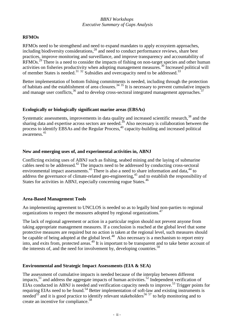#### *BBNJ Workshops Executive Summary of Gaps Analysis*

#### **RFMOs**

RFMOs need to be strengthend and need to expand mandates to apply ecosystem approaches, including biodiversity considerations, $^{28}$  and need to conduct performance reviews, share best practices, improve monitoring and surveillance, and improve transparency and accountability of RFMOs.<sup>29</sup> There is a need to consider the impacts of fishing on non-target species and other human activities on fisheries productivity when adopting management measures.<sup>30</sup> Increased political will of member States is needed.<sup>31 32</sup> Subsidies and overcapacity need to be addressed.<sup>33</sup>

Better implementation of bottom fishing commitments is needed, including through the protection of habitats and the establishment of area closures.<sup>34 35</sup> It is necessary to prevent cumulative impacts and manage user conflicts,  $36$  and to develop cross-sectoral integrated management approaches.  $37$ 

#### **Ecologically or biologically significant marine areas (EBSAs)**

Systematic assessments, improvements in data quality and increased scientific research,<sup>38</sup> and the sharing data and expertise across sectors are needed.<sup>39</sup> Also necessary is collaboration between the process to identify EBSAs and the Regular Process,<sup>40</sup> capacity-building and increased political awareness. 41

#### **New and emerging uses of, and experimental activities in, ABNJ**

Conflicting existing uses of ABNJ such as fishing, seabed mining and the laying of submarine cables need to be addressed.<sup>42</sup> The impacts need to be addressed by conducting cross-sectoral environmental impact assessments.<sup>43</sup> There is also a need to share information and data,<sup>44</sup> to address the governance of climate-related geo-engineering,<sup>45</sup> and to establish the responsibility of States for activities in ABNJ, especially concerning rogue States.<sup>46</sup>

#### **Area-Based Management Tools**

An implementing agreement to UNCLOS is needed so as to legally bind non-parties to regional organizations to respect the measures adopted by regional organizations.<sup>47</sup>

The lack of regional agreement or action in a particular region should not prevent anyone from taking appropriate management measures. If a conclusion is reached at the global level that some protective measures are required but no action is taken at the regional level, such measures should be capable of being adopted at the global level.<sup>48</sup> Also necessary is a mechanism to report entry into, and exits from, protected areas.<sup>49</sup> It is important to be transparent and to take better account of the interests of, and the need for involvement by, developing countries.<sup>50</sup>

#### **Environmental and Strategic Impact Assessments (EIA & SEA)**

The assessment of cumulative impacts is needed because of the interplay between different impacts,  $51$  and address the aggregate impacts of human activities.  $52$  Independent verification of EIAs conducted in ABNJ is needed and verification capacity needs to improve.<sup>53</sup> Trigger points for requiring EIAs need to be found.<sup>54</sup> Better implementation of soft-law and existing instruments is  $\frac{1}{2}$  and  $\frac{1}{2}$  and it is good practice to identify relevant stakeholders<sup>56 57</sup> to help monitoring and to create an incentive for compliance.<sup>58</sup>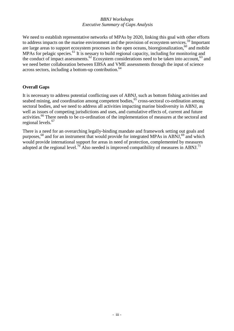#### *BBNJ Workshops Executive Summary of Gaps Analysis*

We need to establish representative networks of MPAs by 2020, linking this goal with other efforts to address impacts on the marine environment and the provision of ecosystem services.<sup>59</sup> Important are large areas to support ecosystem processes in the open oceans, bioregionalization,<sup>60</sup> and mobile MPAs for pelagic species.<sup>61</sup> It is nessary to build regional capacity, including for monitoring and the conduct of impact assessments.<sup>62</sup> Ecosystem considerations need to be taken into account,<sup>63</sup> and we need better collaboration between EBSA and VME assessments through the input of science across sectors, including a bottom-up contribution.<sup>64</sup>

#### **Overall Gaps**

It is necessary to address potential conflicting uses of ABNJ, such as bottom fishing activities and seabed mining, and coordination among competent bodies,<sup>65</sup> cross-sectoral co-ordination among sectoral bodies, and we need to address all activities impacting marine biodiversity in ABNJ, as well as issues of competing jurisdictions and uses, and cumulative effects of, current and future activities.<sup>66</sup> There needs to be co-ordination of the implementation of measures at the sectoral and regional levels.<sup>67</sup>

There is a need for an overarching legally-binding mandate and framework setting out goals and purposes,<sup>68</sup> and for an instrument that would provide for integrated MPAs in ABNJ,<sup>69</sup> and which would provide international support for areas in need of protection, complemented by measures adopted at the regional level.<sup>70</sup> Also needed is improved compatibility of measures in ABNJ.<sup>71</sup>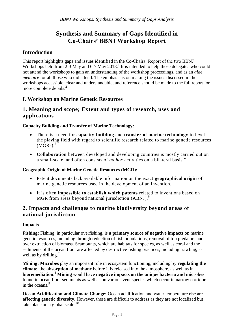# **Synthesis and Summary of Gaps Identified in Co-Chairs' BBNJ Workshop Report**

# <span id="page-5-0"></span>**Introduction**

This report highlights gaps and issues identified in the Co-Chairs' Report of the two BBNJ Workshops held from  $2-3$  May and  $6-7$  May  $2013$ .<sup>1</sup> It is intended to help those delegates who could not attend the workshops to gain an understanding of the workshop proceedings, and as an *aide memoire* for all those who did attend. The emphasis is on making the issues discussed in the workshops accessible, clear and understandable, and reference should be made to the full report for more complete details.<sup>2</sup>

# <span id="page-5-1"></span>**I. Workshop on Marine Genetic Resources**

#### <span id="page-5-2"></span>**1. Meaning and scope; Extent and types of research, uses and applications**

#### <span id="page-5-3"></span>**Capacity Building and Transfer of Marine Technology:**

- There is a need for **capacity-building** and **transfer of marine technology** to level the playing field with regard to scientific research related to marine genetic resources  $(MGRs)<sup>3</sup>$
- **Collaboration** between developed and developing countries is mostly carried out on a small-scale, and often consists of *ad hoc* activities on a bilateral basis.<sup>4</sup>

#### <span id="page-5-4"></span>**Geographic Origin of Marine Genetic Resources (MGR):**

- Patent documents lack available information on the exact **geographical origin** of marine genetic resources used in the development of an invention.<sup>5</sup>
- It is often **impossible to establish which patents** related to inventions based on MGR from areas beyond national jurisdiction (ABNJ).<sup>6</sup>

## <span id="page-5-5"></span>**2. Impacts and challenges to marine biodiversity beyond areas of national jurisdiction**

#### <span id="page-5-6"></span>**Impacts**

**Fishing:** Fishing, in particular overfishing, is **a primary source of negative impacts** on marine genetic resources, including through reduction of fish populations, removal of top predators and over extraction of biomass. Seamounts, which are habitats for species, as well as coral and the sediments of the ocean floor are affected by destructive fishing practices, including trawling, as well as by drilling.<sup>7</sup>

**Mining: Microbes** play an important role in ecosystem functioning, including by **regulating the climate**, the **absorption of methane** before it is released into the atmosphere, as well as in **bioremediation**. <sup>8</sup> **Mining** would have **negative impacts on the unique bacteria and microbes** found in ocean floor sediments as well as on various vent species which occur in narrow corridors in the oceans.<sup>9</sup>

**Ocean Acidification and Climate Change:** Ocean acidification and water temperature rise are **affecting genetic diversity**. However, these are difficult to address as they are not localized but take place on a global scale. $10$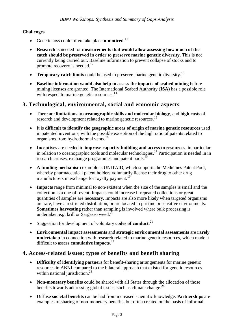#### <span id="page-6-0"></span>**Challenges**

- **•** Genetic loss could often take place **unnoticed**.<sup>11</sup>
- **Research** is needed for **measurements that would allow assessing how much of the catch should be preserved in order to preserve marine genetic diversity.** This is not currently being carried out. Baseline information to prevent collapse of stocks and to promote recovery is needed.<sup>12</sup>
- **Temporary catch limits** could be used to preserve marine genetic diversity.<sup>13</sup>
- **Baseline information would also help to assess the impacts of seabed mining** before mining licenses are granted. The International Seabed Authority (**ISA**) has a possible role with respect to marine genetic resources.<sup>14</sup>

#### <span id="page-6-1"></span>**3. Technological, environmental, social and economic aspects**

- There are **limitations** in **oceanographic skills and molecular biology**, and **high costs** of research and development related to marine genetic resources.<sup>15</sup>
- It is **difficult to identify the geographic areas of origin of marine genetic resources** used in patented inventions, with the possible exception of the high ratio of patents related to organisms from hydrothermal vents.<sup>16</sup>
- **Incentives** are needed to **improve capacity-building and access to resources**, in particular in relation to oceanographic tools and molecular technologies.<sup>17</sup> Participation is needed in in research cruises, exchange programmes and patent pools.<sup>18</sup>
- **A funding mechanism** example is UNITAID, which supports the Medicines Patent Pool, whereby pharmaceutical patent holders voluntarily license their drug to other drug manufacturers in exchange for royalty payment.<sup>19</sup>
- **Impacts** range from minimal to non-existent when the size of the samples is small and the collection is a one-off event. Impacts could increase if repeated collections or great quantities of samples are necessary. Impacts are also more likely when targeted organisms are rare, have a restricted distribution, or are located in pristine or sensitive environments. **Sometimes harvesting** rather than sampling is involved where bulk processing is undertaken e.g. krill or Sargasso weed.<sup>20</sup>
- Suggestion for development of voluntary **codes of conduct.**<sup>21</sup>
- **Environmental impact assessments** and **strategic environmental assessments** are **rarely undertaken** in connection with research related to marine genetic resources, which made it difficult to assess **cumulative impacts**. 22

#### <span id="page-6-2"></span>**4. Access-related issues; types of benefits and benefit sharing**

- **Difficulty of identifying partners** for benefit-sharing arrangements for marine genetic resources in ABNJ compared to the bilateral approach that existed for genetic resources within national jurisdiction.<sup>23</sup>
- **Non-monetary benefits** could be shared with all States through the allocation of those benefits towards addressing global issues, such as climate change. $^{24}$
- Diffuse **societal benefits** can be had from increased scientific knowledge. **Partnerships** are examples of sharing of non-monetary benefits, but often created on the basis of informal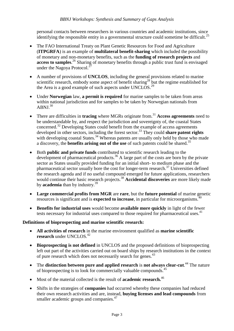personal contacts between researchers in various countries and academic institutions, since identifying the responsible entity in a governmental structure could sometime be difficult.<sup>25</sup>

- The FAO International Treaty on Plant Genetic Resources for Food and Agriculture (**ITPGRFA**) is an example of **multilateral benefit-sharing** which included the possibility of monetary and non-monetary benefits, such as the **funding of research projects** and **access to samples**. <sup>26</sup> Sharing of monetary benefits through a public trust fund is envisaged under the Nagoya Protocol.<sup>27</sup>
- A number of provisions of **UNCLOS**, including the general provisions related to marine scientific research, embody some aspect of benefit sharing<sup>28</sup> but the regime established for the Area is a good example of such aspects under UNCLOS.<sup>29</sup>
- Under **Norwegian** law, **a permit is required** for marine samples to be taken from areas within national jurisdiction and for samples to be taken by Norwegian nationals from ABNI.<sup>30</sup>
- There are difficulties in **tracing** where MGRs originate from.<sup>31</sup> Access agreements need to be understandable by, and respect the jurisdiction and sovereignty of, the coastal States concerned.<sup>32</sup> Developing States could benefit from the example of access agreements developed in other sectors, including the forest sector.<sup>33</sup> They could **share patent rights** with developing coastal States.<sup>34</sup> Whereas patents are usually only held by those who made a discovery, the **benefits arising out of the use** of such patents could be shared.<sup>35</sup>
- Both **public and private funds** contributed to scientific research leading to the development of pharmaceutical products.<sup>36</sup> A large part of the costs are born by the private sector as States usually provided funding for an initial short- to medium phase and the pharmaceutical sector usually bore the cost for longer-term research.<sup>37</sup> Universities defined the research agenda and if no useful compound emerged for future applications, researchers would continue their basic research projects.<sup>38</sup> **Accidental discoveries** are more likely made by **academia** than by industry.<sup>39</sup>
- **Large commercial profits from MGR** are **rare**, but the **future potential** of marine genetic resources is significant and is **expected to increase**, in particular for microorganisms.<sup>40</sup>
- **Benefits for industrial uses** would become **available more quickly** in light of the fewer tests necessary for industrial uses compared to those required for pharmaceutical uses.<sup>41</sup>

#### **Definitions of bioprospecting and marine scientific research:**

- **All activities of research** in the marine environment qualified as **marine scientific research** under UNCLOS.<sup>42</sup>
- **Bioprospecting is not defined** in UNCLOS and the proposed definitions of bioprospecting left out part of the activities carried out on board ships by research institutions in the context of pure research which does not necessarily search for genes.<sup>43</sup>
- The **distinction between pure and applied research** is **not always clear-cut**. <sup>44</sup> The nature of bioprospecting is to look for commercially valuable compounds.<sup>45</sup>
- Most of the material collected is the result of **academic research.**<sup>46</sup>
- Shifts in the strategies of **companies** had occurred whereby these companies had reduced their own research activities and are, instead, **buying licenses and lead compounds** from smaller academic groups and companies.<sup>47</sup>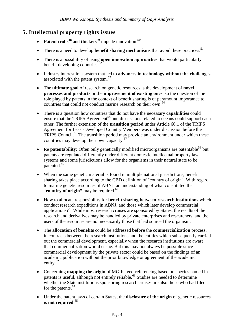# <span id="page-8-0"></span>**5. Intellectual property rights issues**

- Patent trolls<sup>48</sup> and thickets<sup>49</sup> impede innovation.<sup>50</sup>
- There is a need to develop **benefit sharing mechanisms** that avoid these practices.<sup>51</sup>
- There is a possibility of using **open innovation approaches** that would particularly benefit developing countries. $52$
- Industry interest in a system that led to **advances in technology without the challenges** associated with the patent system.<sup>53</sup>
- The **ultimate goal** of research on genetic resources is the development of **novel processes and products** or the **improvement of existing ones**, so the question of the role played by patents in the context of benefit sharing is of paramount importance to countries that could not conduct marine research on their own.<sup>54</sup>
- There is a question how countries that do not have the necessary **capabilities** could ensure that the TRIPS  $\Delta$ greement<sup>55</sup> and discussions related to oceans could support each other. The further extension of the **transition period** under Article 66.1 of the TRIPS Agreement for Least-Developed Country Members was under discussion before the TRIPS Council.<sup>56</sup> The transition period may provide an environment under which these countries may develop their own capacity.<sup>57</sup>
- Re **patentability:** Often only genetically modified microorganisms are patentable<sup>58</sup> but patents are regulated differently under different domestic intellectual property law systems and some jurisdictions allow for the organisms in their natural state to be patented.<sup>59</sup>
- When the same genetic material is found in multiple national jurisdictions, benefit sharing takes place according to the CBD definition of "country of origin". With regard to marine genetic resources of ABNJ, an understanding of what constituted the "**country of origin**" may be required.<sup>60</sup>
- How to allocate responsibility for **benefit sharing between research institutions** which conduct research expeditions in ABNJ, and those which later develop commercial applications?<sup>61</sup> While most research cruises are sponsored by States, the results of the research and derivatives may be handled by private enterprises and researchers, and the users of the resources are not necessarily those that had sourced the organism.
- The **allocation of benefits** could be addressed **before** the **commercialization** process, in contracts between the research institutions and the entities which subsequently carried out the commercial development, especially when the research institutions are aware that commercialization would ensue. But this may not always be possible since commercial development by the private sector could be based on the findings of an academic publication without the prior knowledge or agreement of the academic entity.<sup>62</sup>
- Concerning **mapping the origin** of MGRs: geo-referencing based on species named in patents is useful, although not entirely reliable.<sup>63</sup> Studies are needed to determine whether the State institutions sponsoring research cruises are also those who had filed for the patents.<sup>64</sup>
- Under the patent laws of certain States, the **disclosure of the origin** of genetic resources is **not required**. 65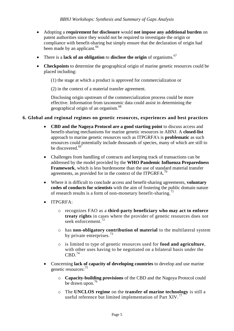- Adopting a **requirement for disclosure** would **not impose any additional burden** on patent authorities since they would not be required to investigate the origin or compliance with benefit-sharing but simply ensure that the declaration of origin had been made by an applicant.<sup>66</sup>
- There is a **lack of an obligation** to **disclose the origin** of organisms.<sup>67</sup>
- **Checkpoints** to determine the geographical origin of marine genetic resources could be placed including:
	- (1) the stage at which a product is approved for commercialization or

(2) in the context of a material transfer agreement.

Disclosing origin upstream of the commercialization process could be more effective. Information from taxonomic data could assist in determining the geographical origin of an organism.<sup>68</sup>

#### <span id="page-9-0"></span>**6. Global and regional regimes on genetic resources, experiences and best practices**

- **CBD and the Nagoya Protocol are a good starting point** to discuss access and benefit-sharing mechanisms for marine genetic resources in ABNJ. A **closed-list** approach to marine genetic resources such as ITPGRFA's is **problematic** as such resources could potentially include thousands of species, many of which are still to be discovered.<sup>69</sup>
- Challenges from handling of contracts and keeping track of transactions can be addressed by the model provided by the **WHO Pandemic Influenza Preparedness Framework**, which is less burdensome than the use of standard material transfer agreements, as provided for in the context of the ITPGRFA.<sup>70</sup>
- Where it is difficult to conclude access and benefit-sharing agreements, **voluntary codes of conducts for scientists** with the aim of fostering the public domain nature of research results is a form of non-monetary benefit-sharing.<sup> $1$ </sup>
- ITPGRFA:
	- o recognizes FAO as a **third-party beneficiary who may act to enforce treaty rights** in cases where the provider of genetic resources does not seek enforcement.<sup>72</sup>
	- o has **non-obligatory contribution of material** to the multilateral system by private enterprises.  $^{73}$
	- o is limited to type of genetic resources used for **food and agriculture**, with other uses having to be negotiated on a bilateral basis under the  $CBD.<sup>74</sup>$
- Concerning **lack of capacity of developing countries** to develop and use marine genetic resources:<sup>75</sup>
	- o **Capacity-building provisions** of the CBD and the Nagoya Protocol could be drawn upon.<sup>76</sup>
	- o The **UNCLOS regime** on the **transfer of marine technology** is still a useful reference but limited implementation of Part XIV.<sup>77</sup>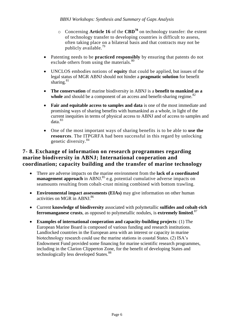- o Concerning **Article 16** of the **CBD<sup>78</sup>** on technology transfer: the extent of technology transfer to developing countries is difficult to assess, often taking place on a bilateral basis and that contracts may not be publicly available.<sup>79</sup>
- Patenting needs to be **practiced responsibly** by ensuring that patents do not exclude others from using the materials.<sup>80</sup>
- UNCLOS embodies notions of **equity** that could be applied, but issues of the legal status of MGR ABNJ should not hinder a **pragmatic solution** for benefit sharing. $81$
- **The conservation** of marine biodiversity in ABNJ is a **benefit to mankind as a**  whole and should be a component of an access and benefit-sharing regime.<sup>82</sup>
- **Fair and equitable access to samples and data** is one of the most immediate and promising ways of sharing benefits with humankind as a whole, in light of the current inequities in terms of physical access to ABNJ and of access to samples and data.<sup>83</sup>
- One of the most important ways of sharing benefits is to be able to **use the resources**. The ITPGRFA had been successful in this regard by unlocking genetic diversity.<sup>84</sup>

## <span id="page-10-0"></span>**7- 8. Exchange of information on research programmes regarding marine biodiversity in ABNJ; International cooperation and coordination; capacity building and the transfer of marine technology**

- There are adverse impacts on the marine environment from the **lack of a coordinated management approach** in ABNJ.<sup>85</sup> e.g. potential cumulative adverse impacts on seamounts resulting from cobalt-crust mining combined with bottom trawling.
- **Environmental impact assessments (EIAs)** may give information on other human activities on MGR in ABNJ.<sup>86</sup>
- Current **knowledge of biodiversity** associated with polymetallic **sulfides and cobalt-rich ferromanganese crusts**, as opposed to polymetallic nodules, is **extremely limited**. 87
- **Examples of international cooperation and capacity-building projects**: (1) The European Marine Board is composed of various funding and research institutions. Landlocked countries in the European area with an interest or capacity in marine biotechnology research could use the marine stations in coastal States. (2) ISA's Endowment Fund provided some financing for marine scientific research programmes, including in the Clarion Clipperton Zone, for the benefit of developing States and technologically less developed States.<sup>88</sup>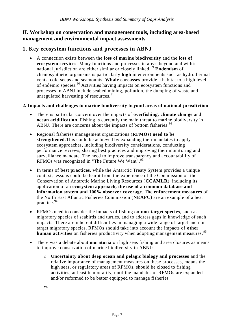#### <span id="page-11-0"></span>**II. Workshop on conservation and management tools, including area-based management and environmental impact assessments**

#### <span id="page-11-1"></span>**1. Key ecosystem functions and processes in ABNJ**

 A connection exists between the **loss of marine biodiversity** and the **loss of ecosystem services**. Many functions and processes in areas beyond and within national jurisdiction are either similar or closely linked.<sup>89</sup> **Endemism** of chemosynthetic organisms is particularly **high** in environments such as hydrothermal vents, cold seeps and seamounts. **Whale carcasses** provide a habitat to a high level of endemic species.<sup>90</sup> Activities having impacts on ecosystem functions and processes in ABNJ include seabed mining, pollution, the dumping of waste and unregulated harvesting of resources.  $91$ 

#### <span id="page-11-2"></span>**2. Impacts and challenges to marine biodiversity beyond areas of national jurisdi ction**

- There is particular concern over the impacts of **overfishing**, **climate change** and **ocean acidification**. Fishing is currently the main threat to marine biodiversity in ABNJ. There are concerns about the impacts of bottom fisheries.  $92$
- Regional fisheries management organizations (**RFMOs**) **need to be strengthened**.This could be achieved by expanding their mandates to apply ecosystem approaches, including biodiversity considerations, conducting performance reviews, sharing best practices and improving their monitoring and surveillance mandate. The need to improve transparency and accountability of RFMOs was recognized in "The Future We Want". <sup>93</sup>
- In terms of **best practices**, while the Antarctic Treaty System provides a unique context, lessons could be learnt from the experience of the Commission on the Conservation of Antarctic Marine Living Resources (**CCAMLR**), including its application of an **ecosystem approach, the use of a common database and information system and 100% observer coverage**. The **enforcement measures** of the North East Atlantic Fisheries Commission (**NEAFC**) are an example of a best practice.<sup>94</sup>
- RFMOs need to consider the impacts of fishing on **non-target species**, such as migratory species of seabirds and turtles, and to address gaps in knowledge of such impacts. There are inherent difficulties in managing a wide range of target and nontarget migratory species. RFMOs should take into account the impacts of **other human activities** on fisheries productivity when adopting management measures.<sup>95</sup>
- There was a debate about **moratoria** on high seas fishing and area closures as means to improve conservation of marine biodiversity in ABNJ:
	- o **Uncertainty about deep ocean and pelagic biology and processes** and the relative importance of management measures on these processes, means the high seas, or regulatory areas of RFMOs, should be closed to fishing activities, at least temporarily, until the mandates of RFMOs are expanded and/or reformed to be better equipped to manage fisheries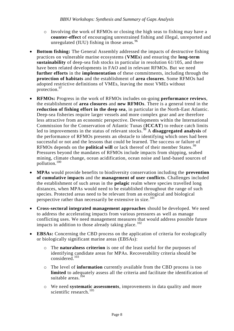- o Involving the work of RFMOs or closing the high seas to fishing may have a **counter-effect** of encouraging unrestrained fishing and illegal, unreported and unregulated (IUU) fishing in those areas.<sup>96</sup>
- **Bottom fishing:** The General Assembly addressed the impacts of destructive fishing practices on vulnerable marine ecosystems (**VMEs**) and ensuring the **long-term sustainability** of deep-sea fish stocks in particular in resolution 61/105, and there have been related developments in FAO and in relevant RFMOs. But we need **further efforts** in the **implementation** of these commitments, including through the **protection of habitats** and the establishment of **area closures**. Some RFMOs had adopted restrictive definitions of VMEs, leaving the most VMEs without protection.<sup>97</sup>
- **RFMOs:** Progress in the work of RFMOs includes on-going **performance reviews**, the establishment of **area closures** and **new RFMOs**. There is a general trend in the **reduction of fishing effort in the deep sea**, in particular in the North-East Atlantic. Deep-sea fisheries require larger vessels and more complex gear and are therefore less attractive from an economic perspective. Developments within the International Commission for the Conservation of Atlantic Tunas (**ICCAT**) to reduce catch limits led to improvements in the status of relevant stocks. <sup>98</sup> A **disaggregated analysis** of the performance of RFMOs presents an obstacle to identifying which ones had been successful or not and the lessons that could be learned. The success or failure of RFMOs depends on the **political will** or lack thereof of their member States.<sup>99</sup> Pressures beyond the mandates of RFMOs include impacts from shipping, seabed mining, climate change, ocean acidification, ocean noise and land-based sources of pollution.<sup>100</sup>
- **MPAs** would provide benefits to biodiversity conservation including the **prevention of cumulative impacts** and the **management of user conflicts**. Challenges included the establishment of such areas in the **pelagic** realm where species travelled long distances, when MPAs would need to be established throughout the range of such species. Protected areas need to be relevant from an ecological and biological perspective rather than necessarily be extensive in size.<sup>101</sup>
- **Cross-sectoral integrated management approaches** should be developed. We need to address the accelerating impacts from various pressures as well as manage conflicting uses. We need management measures that would address possible future impacts in addition to those already taking place.  $^{102}$
- **EBSAs:** Concerning the CBD process on the application of criteria for ecologically or biologically significant marine areas (EBSAs):
	- o The **naturalness criterion** is one of the least useful for the purposes of identifying candidate areas for MPAs. Recoverability criteria should be considered.<sup>103</sup>
	- o The level of **information** currently available from the CBD process is too **limited** to adequately assess all the criteria and facilitate the identification of suitable areas. $104$
	- o We need **systematic assessments**, improvements in data quality and more scientific research.<sup>105</sup>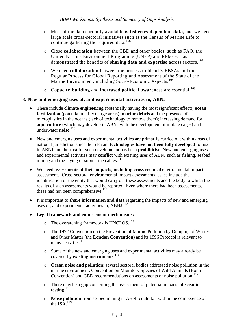- o Most of the data currently available is **fisheries-dependent data**, and we need large scale cross-sectoral initiatives such as the Census of Marine Life to continue gathering the required data.<sup>106</sup>
- o Close **collaboration** between the CBD and other bodies, such as FAO, the United Nations Environment Programme (UNEP) and RFMOs, has demonstrated the benefits of **sharing data and expertise** across sectors.<sup>107</sup>
- o We need **collaboration** between the process to identify EBSAs and the Regular Process for Global Reporting and Assessment of the State of the Marine Environment, including Socio-Economic Aspects.<sup>108</sup>
- o **Capacity-building** and **increased political awareness** are essential.<sup>109</sup>

#### <span id="page-13-0"></span>**3. New and emerging uses of, and experimental activities in, ABNJ**

- These include **climate engineering** (potentially having the most significant effect); **ocean fertilization** (potential to affect large areas); **marine debris** and the presence of microplastics in the oceans (lack of technology to remove them); increasing demand for **aquaculture** (which may develop in ABNJ with the development of mobile cages) and underwater **noise**. 110
- New and emerging uses and experimental activities are primarily carried out within areas of national jurisdiction since the relevant **technologies have not been fully developed** for use in ABNJ and the **cost** for such development has been **prohibitive**. New and emerging uses and experimental activities may **conflict** with existing uses of ABNJ such as fishing, seabed mining and the laying of submarine cables. $111$
- We need **assessments of their impacts**, **including cross-sectoral** environmental impact assessments. Cross-sectoral environmental impact assessments issues include the identification of the entity that would carry out these assessments and the body to which the results of such assessments would be reported. Even where there had been assessments, these had not been comprehensive.<sup>112</sup>
- It is important to **share information and data** regarding the impacts of new and emerging uses of, and experimental activities in, ABNJ. $^{113}$
- **Legal framework and enforcement mechanisms:**
	- $\circ$  The overarching framework is UNCLOS.<sup>114</sup>
	- o The 1972 Convention on the Prevention of Marine Pollution by Dumping of Wastes and Other Matter (the **London Convention**) and its 1996 Protocol is relevant to many activities.<sup>115</sup>
	- o Some of the new and emerging uses and experimental activities may already be covered by **existing instruments**. 116
	- o **Ocean noise and pollution**: several sectoral bodies addressed noise pollution in the marine environment. Convention on Migratory Species of Wild Animals (Bonn Convention) and CBD recommendations on assessments of noise pollution.<sup>117</sup>
	- o There may be a **gap** concerning the assessment of potential impacts of **seismic testing**. 118
	- o **Noise pollution** from seabed mining in ABNJ could fall within the competence of the  $\mathbf{ISA}$ <sup>119</sup>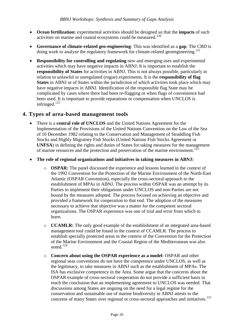- **Ocean fertilization:** experimental activities should be designed so that the **impacts** of such activities on marine and coastal ecosystems could be measured.<sup>120</sup>
- **Governance of climate-related geo-engineering**: This was identified as a **gap**. The CBD is doing work to analyze the regulatory framework for climate-related geoengineering.<sup>121</sup>
- **Responsibility for controlling and regulating** new and emerging uses and experimental activities which may have negative impacts in ABNJ: It is important to establish the **responsibility of States** for activities in ABNJ. This is not always possible, particularly in relation to unlawful or unregulated (rogue) experiments. It is the **responsibility of flag States** in ABNJ or of States within the jurisdiction of which activities took place which may have negative impacts in ABNJ. Identification of the responsible flag State may be complicated by cases where there had been re-flagging or when flags of convenience had been used. It is important to provide reparations or compensation when UNCLOS is infringed.<sup>122</sup>

#### <span id="page-14-0"></span>**4. Types of area-based management tools**

- There is a **central role of UNCLOS** and the United Nations Agreement for the Implementation of the Provisions of the United Nations Convention on the Law of the Sea of 10 December 1982 relating to the Conservation and Management of Straddling Fish Stocks and Highly Migratory Fish Stocks (United Nations Fish Stocks Agreement or **UNFSA**) in defining the rights and duties of States for taking measures for the management of marine resources and the protection and preservation of the marine environment.<sup>123</sup>
- **The role of regional organizations and initiatives in taking measures in ABNJ:**
	- o **OSPAR:** The panel discussed the experience and lessons learned in the context of the 1992 Convention for the Protection of the Marine Environment of the North-East Atlantic (OSPAR Convention), especially the cross-sectoral approach to the establishment of MPAs in ABNJ. The process within OSPAR was an attempt by its Parties to implement their obligations under UNCLOS and non-Parties are not bound by the measures adopted. The process focused on achieving an objective and provided a framework for cooperation to that end. The adoption of the measures necessary to achieve that objective was a matter for the competent sectoral organizations. The OSPAR experience was one of trial and error from which to learn.
	- o **CCAMLR:** The only good example of the establishment of an integrated area-based management tool could be found in the context of CCAMLR. The process to establish specially protected areas in the context of the Convention for the Protection of the Marine Environment and the Coastal Region of the Mediterranean was also noted. 124
	- o **Concern about using the OSPAR experience as a model**: OSPAR and other regional seas conventions do not have the competence under UNCLOS, as well as the legitimacy, to take measures in ABNJ such as the establishment of MPAs. The ISA has exclusive competency in the Area. Some argue that the concerns about the OSPAR example of cross-sectoral cooperation do not provide a sufficient basis to reach the conclusion that an implementing agreement to UNCLOS was needed. That discussions among States are ongoing on the need for a legal regime for the conservation and sustainable use of marine biodiversity in ABNJ attests to the concerns of many States over regional or cross-sectoral approaches and initiatives.<sup>125</sup>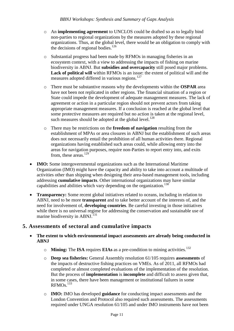- o An **implementing agreement** to UNCLOS could be drafted so as to legally bind non-parties to regional organizations by the measures adopted by these regional organizations. Thus, at the global level, there would be an obligation to comply with the decisions of regional bodies.<sup>126</sup>
- o Substantial progress had been made by RFMOs in managing fisheries in an ecosystem context, with a view to addressing the impacts of fishing on marine biodiversity in ABNJ. But **subsidies and overcapacity** still posed major problems. **Lack of political will** within RFMOs is an issue: the extent of political will and the measures adopted differed in various regions.<sup>127</sup>
- o There must be substantive reasons why the developments within the **OSPAR** area have not been not replicated in other regions. The financial situation of a region or State could impede the development of adequate management measures. The lack of agreement or action in a particular region should not prevent actors from taking appropriate management measures. If a conclusion is reached at the global level that some protective measures are required but no action is taken at the regional level, such measures should be adopted at the global level.<sup>128</sup>
- o There may be restrictions on the **freedom of navigation** resulting from the establishment of MPAs or area closures in ABNJ but the establishment of such areas does not necessarily entail the prohibition of all human activities there. Regional organizations having established such areas could, while allowing entry into the areas for navigation purposes, require non-Parties to report entry into, and exits from, these areas.<sup>129</sup>
- **IMO:** Some intergovernmental organizations such as the International Maritime Organization (IMO) might have the capacity and ability to take into account a multitude of activities other than shipping when designing their area-based management tools, including addressing **cumulative impacts**. Other international organizations may have similar capabilities and abilities which vary depending on the organization.<sup>130</sup>
- **Transparency:** Some recent global initiatives related to oceans, including in relation to ABNJ, need to be more **transparent** and to take better account of the interests of, and the need for involvement of, **developing countries**. Be careful investing in those initiatives while there is no universal regime for addressing the conservation and sustainable use of marine biodiversity in ABNJ.<sup>131</sup>

#### <span id="page-15-0"></span>**5. Assessments of sectoral and cumulative impacts**

- **The extent to which environmental impact assessments are already being conducted in ABNJ**
	- o **Mining:** The **ISA** requires **EIAs** as a pre-condition to mining activities.<sup>132</sup>
	- o **Deep sea fisheries:** General Assembly resolution 61/105 requires **assessments** of the impacts of destructive fishing practices on VMEs. As of 2011, all RFMOs had completed or almost completed evaluations of the implementation of the resolution. But the process of **implementation** is **incomplete** and difficult to assess given that, in some cases, there have been management or institutional failures in some RFMO<sub>s.</sub><sup>133</sup>
	- o **IMO:** IMO has developed **guidance** for conducting impact assessments and the London Convention and Protocol also required such assessments. The assessments required under UNGA resolution 61/105 and under IMO instruments have not been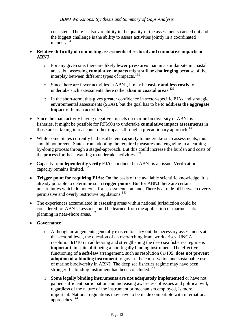consistent. There is also variability in the quality of the assessments carried out and the biggest challenge is the ability to assess activities jointly in a coordinated manner.<sup>134</sup>

- **Relative difficulty of conducting assessments of sectoral and cumulative impacts in ABNJ**
	- o For any given site, there are likely **fewer pressures** than in a similar site in coastal areas, but assessing **cumulative impacts** might still be **challenging** because of the interplay between different types of impacts.<sup>135</sup>
	- o Since there are fewer activities in ABNJ, it may be **easier and less costly** to undertake such assessments there rather **than in coastal areas**. 136
	- o In the short-term, this gives greater confidence in sector-specific EIAs and strategic environmental assessments (SEAs), but the goal has to be to **address the aggregate impact** of human activities.<sup>137</sup>
- Since the main activity having negative impacts on marine biodiversity in ABNJ is fisheries, it might be possible for RFMOs to undertake **cumulative impact assessments** in those areas, taking into account other impacts through a precautionary approach.<sup>138</sup>
- While some States currently had insufficient **capacity** to undertake such assessments, this should not prevent States from adopting the required measures and engaging in a learningby-doing process through a staged-approach. But this could increase the burden and costs of the process for those wanting to undertake activities.<sup>139</sup>
- Capacity to **independently verify EIAs** conducted in ABNJ is an issue. Verification capacity remains limited. $140$
- **Trigger point for requiring EIAs:** On the basis of the available scientific knowledge, it is already possible to determine such **trigger points**. But for ABNJ there are certain uncertainties which do not exist for assessments on land. There is a trade-off between overly permissive and overly restrictive regulations.<sup>141</sup>
- The experiences accumulated in assessing areas within national jurisdiction could be considered for ABNJ. Lessons could be learned from the application of marine spatial planning in near-shore areas. $142$
- **Governance**
	- o Although arrangements generally existed to carry out the necessary assessments at the sectoral level, the question of an overarching framework arises. UNGA resolution **61/105** in addressing and strengthening the deep sea fisheries regime is **important**, in spite of it being a non-legally binding instrument. The effective functioning of a **soft-law** arrangement, such as resolution 61/105, **does not prevent adoption of a binding instrument** to govern the conservation and sustainable use of marine biodiversity in ABNJ. The deep sea fisheries regime may have been stronger if a binding instrument had been concluded.<sup>143</sup>
	- o **Some legally binding instruments are not adequately implemented** or have not gained sufficient participation and increasing awareness of issues and political will, regardless of the nature of the instrument or mechanism employed, is more important. National regulations may have to be made compatible with international approaches.<sup>144</sup>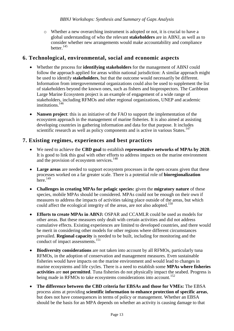o Whether a new overarching instrument is adopted or not, it is crucial to have a global understanding of who the relevant **stakeholders** are in ABNJ, as well as to consider whether new arrangements would make accountability and compliance better.<sup>145</sup>

#### <span id="page-17-0"></span>**6. Technological, environmental, social and economic aspects**

- Whether the process for **identifying stakeholders** for the management of ABNJ could follow the approach applied for areas within national jurisdiction: A similar approach might be used to identify **stakeholders**, but that the outcome would necessarily be different. Information from intergovernmental organizations could also be used to supplement the list of stakeholders beyond the known ones, such as fishers and bioprospectors. The Caribbean Large Marine Ecosystem project is an example of engagement of a wide range of stakeholders, including RFMOs and other regional organizations, UNEP and academic institutions.<sup>146</sup>
- **Nansen project**: this is an initiative of the FAO to support the implementation of the ecosystem approach in the management of marine fisheries. It is also aimed at assisting developing countries in gathering information and data for that purpose. It includes scientific research as well as policy components and is active in various States.<sup>147</sup>

# <span id="page-17-1"></span>**7. Existing regimes, experiences and best practices**

- We need to achieve the **CBD goal** to establish **representative networks of MPAs by 2020**. It is good to link this goal with other efforts to address impacts on the marine environment and the provision of ecosystem services.<sup>148</sup>
- Large areas are needed to support ecosystem processes in the open oceans given that these processes worked on a far greater scale. There is a potential role of **bioregionalization** here.<sup>149</sup>
- **Challenges in creating MPAs for pelagic species:** given the **migratory nature** of these species, mobile MPAs should be considered. MPAs could not be enough on their own if measures to address the impacts of activities taking place outside of the areas, but which could affect the ecological integrity of the areas, are not also adopted.<sup>150</sup>
- **Efforts to create MPAs in ABNJ:** OSPAR and CCAMLR could be used as models for other areas. But these measures only dealt with certain activities and did not address cumulative effects. Existing experiences are limited to developed countries, and there would be merit in considering other models for other regions where different circumstances prevailed. **Regional capacity** is needed to be built, including for monitoring and the conduct of impact assessments.<sup>151</sup>
- **Biodiversity considerations** are not taken into account by all RFMOs, particularly tuna RFMOs, in the adoption of conservation and management measures. Even sustainable fisheries would have impacts on the marine environment and would lead to changes in marine ecosystems and life cycles. There is a need to establish some **MPAs where fisheries activities** are **not permitted**. Tuna fisheries do not physically impact the seabed. Progress is being made in RFMOs to take ecosystems considerations into account.<sup>152</sup>
- **The difference between the CBD criteria for EBSAs and those for VMEs:** The EBSA process aims at providing **scientific information to enhance protection of specific areas**, but does not have consequences in terms of policy or management. Whether an EBSA should be the basis for an MPA depends on whether an activity is causing damage to that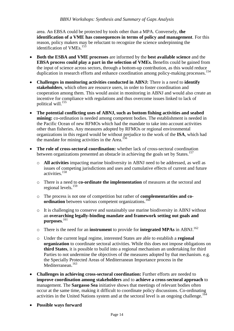area. An EBSA could be protected by tools other than a MPA. Conversely, **the identification of a VME has consequences in terms of policy and management**. For this reason, policy makers may be reluctant to recognize the science underpinning the identification of VMEs. $153$ 

- **Both the ESBA and VME processes** are informed by the **best available science** and the **EBSA process could play a part in the selection of VMEs.** Benefits could be gained from the input of science across sectors, through a bottom-up contribution, as this would reduce duplication in research efforts and enhance coordination among policy-making processes.<sup>154</sup>
- **Challenges in monitoring activities conducted in ABNJ:** There is a need to **identify stakeholders**, which often are resource users, in order to foster coordination and cooperation among them. This would assist in monitoring in ABNJ and would also create an incentive for compliance with regulations and thus overcome issues linked to lack of political will.<sup>155</sup>
- **The potential conflicting uses of ABNJ, such as bottom fishing activities and seabed mining:** co-ordination is needed among competent bodies. The establishment is needed in the Pacific Ocean of new RFMOs which had the mandate to take into account activities other than fisheries. Any measures adopted by RFMOs or regional environmental organizations in this regard would be without prejudice to the work of the **ISA**, which had the mandate for mining activities in the Area.<sup>156</sup>
- **The role of cross-sectoral coordination:** whether lack of cross-sectoral coordination between organizations presented an obstacle in achieving the goals set by States.<sup>157</sup>
	- o **All activities** impacting marine biodiversity in ABNJ need to be addressed, as well as issues of competing jurisdictions and uses and cumulative effects of current and future activities.<sup>158</sup>
	- o There is a need to **co-ordinate the implementation** of measures at the sectoral and regional levels.<sup>159</sup>
	- o The process is not one of competition but rather of **complementarities and coordination** between various competent organizations.<sup>160</sup>
	- o It is challenging to conserve and sustainably use marine biodiversity in ABNJ without an **overarching legally-binding mandate and framework setting out goals and purposes**. 161
	- o There is the need for an **instrument** to provide for **integrated MPAs** in ABNJ.<sup>162</sup>
	- o Under the current legal regime, interested States are able to establish a **regional organization** to coordinate sectoral activities. While this does not impose obligations on **third States**, it is possible to build into a regional mechanism an undertaking for third Parties to not undermine the objectives of the measures adopted by that mechanism. e.g. the Specially Protected Areas of Mediterranean Importance process in the Mediterranean.<sup>163</sup>
- **Challenges in achieving cross-sectoral coordination:** Further efforts are needed to **improve coordination among stakeholders** and to **achieve a cross-sectoral approach** to management. The **Sargasso Sea** initiative shows that meetings of relevant bodies often occur at the same time, making it difficult to coordinate policy discussions. Co-ordinating activities in the United Nations system and at the sectoral level is an ongoing challenge.<sup>164</sup>
- **Possible ways forward**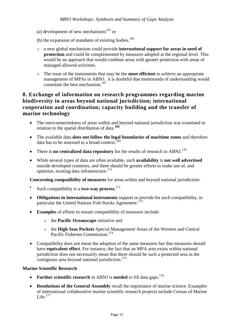- (a) development of new mechanisms $^{165}$  or
- (b) the expansion of mandates of existing bodies.<sup>166</sup>
- o a new global mechanism could provide **international support for areas in need of protection** and could be complemented by measures adopted at the regional level. This would be an approach that would combine areas with greater protection with areas of managed allowed activities.
- o The issue of the instruments that may be the **most efficient** to achieve an appropriate management of MPAs in ABNJ: it is doubtful that memoranda of understanding would constitute the best mechanism.<sup>167</sup>

#### <span id="page-19-0"></span>**8. Exchange of information on research programmes regarding marine biodiversity in areas beyond national jurisdiction; international cooperation and coordination; capacity building and the transfer of marine technology**

- The interconnectedness of areas within and beyond national jurisdiction was examined in relation to the spatial distribution of data.**<sup>168</sup>**
- The available data **does not follow the legal boundaries of maritime zones** and therefore data has to be assessed in a broad context.<sup>169</sup>
- There is **no centralized data repository** for the results of research in ABNJ.<sup>170</sup>
- While several types of data are often available, such **availability** is **not well advertised** outside developed countries, and there should be greater efforts to make use of, and optimize, existing data infrastructure.<sup>171</sup>

**Concerning compatibility of measures** for areas within and beyond national jurisdiction:

- $\bullet$ Such compatibility is a **two-way process.** 172
- **Obligations in international instruments** support or provide for such compatibility, in particular the United Nations Fish Stocks Agreement.<sup>173</sup>
- **Examples** of efforts to ensure compatibility of measures include:
	- o the **Pacific Oceanscape** initiative and
	- o the **High Seas Pockets** Special Management Areas of the Western and Central Pacific Fisheries Commission.<sup>174</sup>
- Compatibility does not mean the adoption of the same measures but that measures should have **equivalent effect**. For instance, the fact that an MPA area exists within national jurisdiction does not necessarily mean that there should be such a protected area in the contiguous area beyond national jurisdiction.<sup>175</sup>

#### **Marine Scientific Research**

- Further scientific research in ABNJ is needed to fill data gaps.<sup>176</sup>
- **Resolutions of the General Assembly** recall the importance of marine science. Examples of international collaborative marine scientific research projects include Census of Marine Life.<sup>177</sup>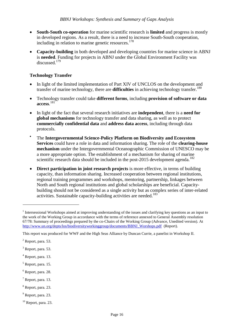- **South-South co-operation** for marine scientific research is **limited** and progress is mostly in developed regions. As a result, there is a need to increase South-South cooperation, including in relation to marine genetic resources.<sup>178</sup>
- **Capacity-building** in both developed and developing countries for marine science in ABNJ is **needed**. Funding for projects in ABNJ under the Global Environment Facility was discussed.<sup>179</sup>

#### **Technology Transfer**

- In light of the limited implementation of Part XIV of UNCLOS on the development and transfer of marine technology, there are **difficulties** in achieving technology transfer.<sup>180</sup>
- Technology transfer could take **different forms**, including **provision of software or data access**. 181
- In light of the fact that several research initiatives are **independent**, there is a **need for global mechanisms** for technology transfer and data sharing, as well as to protect **commercially confidential data** and **address data access**, including through data protocols.
- $\bullet$ The **Intergovernmental Science-Policy Platform on Biodiversity and Ecosystem Services** could have a role in data and information sharing. The role of the **clearing-house mechanism** under the Intergovernmental Oceanographic Commission of UNESCO may be a more appropriate option. The establishment of a mechanism for sharing of marine scientific research data should be included in the post-2015 development agenda.<sup>182</sup>
- **Direct participation in joint research projects** is more effective, in terms of building capacity, than information sharing. Increased cooperation between regional institutions, regional training programmes and workshops, mentoring, partnership, linkages between North and South regional institutions and global scholarships are beneficial. Capacitybuilding should not be considered as a single activity but as complex series of inter-related activities. Sustainable capacity-building activities are needed.<sup>183</sup>

- $<sup>5</sup>$  Report, para. 15.</sup>
- $6$  Report, para. 28.
- $<sup>7</sup>$  Report, para. 13.</sup>
- <sup>8</sup> Report, para. 23.
- $<sup>9</sup>$  Report, para. 23.</sup>
- $10$  Report, para. 23.

<sup>&</sup>lt;sup>1</sup> Intersessional Workshops aimed at improving understanding of the issues and clarifying key questions as an input to the work of the Working Group in accordance with the terms of reference annexed to General Assembly resolution 67/78: Summary of proceedings prepared by the co-Chairs of the Working Group (Advance, Unedited version). At [http://www.un.org/depts/los/biodiversityworkinggroup/documents/BBNJ\\_Worshops.pdf](http://www.un.org/depts/los/biodiversityworkinggroup/documents/BBNJ_Worshops.pdf) (Report).

This report was produced for WWF and the High Seas Alliance by Duncan Currie, a panelist in Workshop II.

 $<sup>2</sup>$  Report, para. 53.</sup>

 $3$  Report, para. 53.

 $<sup>4</sup>$  Report, para. 13.</sup>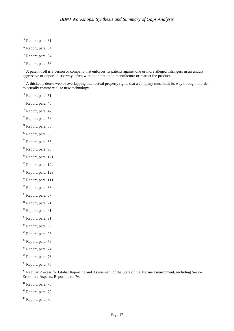Report, para. 31.

 $\overline{a}$ 

- Report, para. 34.
- Report, para. 34.
- Report, para. 53.

<sup>15</sup> A patent troll is a person or company that enforces its patents against one or more alleged infringers in an unduly aggressive or opportunistic way, often with no intention to manufacture or market the product.

<sup>16</sup> A thicket is dense web of overlapping intellectual property rights that a company must hack its way through in order to actually commercialize new technology.

- Report, para. 51.
- Report, para. 46.
- Report, para. 47.
- Report, para. 53
- Report, para. 55.
- Report, para. 55.
- Report, para. 65.
- Report, para, 96.
- Report, para. 121.
- Report, para. 124.
- Report, para. 123.
- Report, para. 111.
- Report, para. 66.
- Report, para. 67.
- Report, para. 71.
- Report, para. 91.
- Report, para. 91.
- Report, para. 69.
- Report, para. 96.
- Report, para. 73.
- Report, para. 74.
- Report, para. 76.
- Report, para. 76.

<sup>40</sup> Regular Process for Global Reporting and Assessment of the State of the Marine Environment, including Socio-Economic Aspects. Report, para. 76.

- Report, para. 76.
- Report, para. 79.
- Report, para. 80.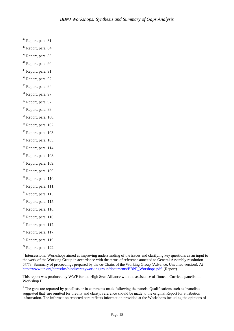Report, para. 81.

 $\overline{a}$ 

- Report, para. 84.
- Report, para. 85.
- Report, para. 90.
- Report, para. 91.
- Report, para. 92.
- Report, para. 94.
- Report, para. 97.
- Report, para. 97.
- Report, para. 99.
- Report, para. 100.
- Report, para. 102.
- Report, para. 103.
- Report, para. 105.
- Report, para. 114.
- Report, para. 108.
- Report, para. 109.
- Report, para. 109.
- Report, para. 110.
- Report, para. 111.
- Report, para. 113.
- Report, para. 115.
- Report, para. 116.
- Report, para. 116.
- Report, para. 117.
- Report, para. 117.
- Report, para. 119.
- Report, para. 122.

 Intersessional Workshops aimed at improving understanding of the issues and clarifying key questions as an input to the work of the Working Group in accordance with the terms of reference annexed to General Assembly resolution 67/78: Summary of proceedings prepared by the co-Chairs of the Working Group (Advance, Unedited version). At [http://www.un.org/depts/los/biodiversityworkinggroup/documents/BBNJ\\_Worshops.pdf](http://www.un.org/depts/los/biodiversityworkinggroup/documents/BBNJ_Worshops.pdf) (Report).

This report was produced by WWF for the High Seas Alliance with the assistance of Duncan Currie, a panelist in Workshop II.

 The gaps are reported by panellists or in comments made following the panels. Qualifications such as 'panelists suggested that' are omitted for brevity and clarity; reference should be made to the original Report for attribution information. The information reported here reflects information provided at the Workshops including the opinions of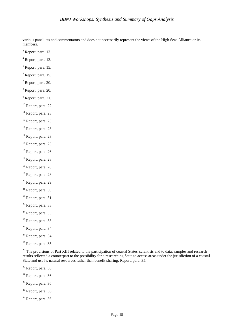various panellists and commentators and does not necessarily represent the views of the High Seas Alliance or its members.

Report, para. 13.

 $\overline{a}$ 

- $<sup>4</sup>$  Report, para. 13.</sup>
- $<sup>5</sup>$  Report, para. 15.</sup>
- Report, para. 15.
- $<sup>7</sup>$  Report, para. 20.</sup>
- Report, para. 20.
- <sup>9</sup> Report, para. 21.
- Report, para. 22.
- Report, para. 23.
- Report, para. 23.
- Report, para. 23.
- Report, para. 23.
- <sup>15</sup> Report, para. 25.
- <sup>16</sup> Report, para. 26.
- Report, para. 28.
- Report, para. 28.
- Report, para. 28.
- Report, para. 29.
- Report, para. 30.
- Report, para. 31.
- Report, para. 33.
- Report, para. 33.
- Report, para. 33.
- Report, para. 34.
- Report, para. 34.
- Report, para. 35.

<sup>29</sup> The provisions of Part XIII related to the participation of coastal States' scientists and to data, samples and research results reflected a counterpart to the possibility for a researching State to access areas under the jurisdiction of a coastal State and use its natural resources rather than benefit sharing. Report, para. 35.

- Report, para. 36.
- Report, para. 36.
- Report, para. 36.
- Report, para. 36.
- Report, para. 36.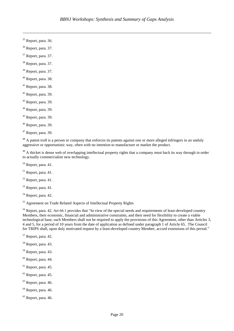Report, para. 36.

 $\overline{a}$ 

- Report, para. 37.
- Report, para. 37.
- Report, para. 37.
- Report, para. 37.
- Report, para. 38.
- Report, para. 38.
- Report, para. 39.
- Report, para. 39.
- Report, para. 39.
- Report, para. 39.
- Report, para. 39.
- Report, para. 39.

<sup>48</sup> A patent troll is a person or company that enforces its patents against one or more alleged infringers in an unduly aggressive or opportunistic way, often with no intention to manufacture or market the product.

<sup>49</sup> A thicket is dense web of overlapping intellectual property rights that a company must hack its way through in order to actually commercialize new technology.

- Report, para. 41.
- Report, para. 41.
- Report, para. 41.
- Report, para. 41.
- Report, para. 42.
- <sup>55</sup> Agreement on Trade Related Aspects of Intellectual Property Rights

<sup>56</sup> Report, para. 42. Art 66.1 provides that "In view of the special needs and requirements of least-developed country Members, their economic, financial and administrative constraints, and their need for flexibility to create a viable technological base, such Members shall not be required to apply the provisions of this Agreement, other than Articles 3, 4 and 5, for a period of 10 years from the date of application as defined under paragraph 1 of Article 65. The Council for TRIPS shall, upon duly motivated request by a least-developed country Member, accord extensions of this period."

- Report, para. 42.
- Report, para. 43.
- Report, para. 43.
- Report, para. 44.
- $<sup>61</sup>$  Report, para. 45.</sup>
- Report, para. 45.
- Report, para. 46.
- Report, para. 46.
- Report, para. 46.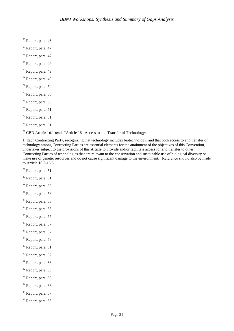Report, para. 46.

 $\overline{a}$ 

- Report, para. 47.
- Report, para. 47.
- Report, para. 49.
- Report, para, 49.
- Report, para. 49.
- Report, para. 50.
- Report, para. 50.
- Report, para. 50.
- $^{75}$  Report, para. 51.
- Report, para. 51.
- Report, para. 51.

CBD Article 16.1 reads "Article 16. Access to and Transfer of Technology:

1. Each Contracting Party, recognizing that technology includes biotechnology, and that both access to and transfer of technology among Contracting Parties are essential elements for the attainment of the objectives of this Convention, undertakes subject to the provisions of this Article to provide and/or facilitate access for and transfer to other Contracting Parties of technologies that are relevant to the conservation and sustainable use of biological diversity or make use of genetic resources and do not cause significant damage to the environment." Reference should also be made to Article 16.2-16.5.

- Report, para. 51.
- Report, para. 51.
- Report, para. 52
- Report, para. 53
- Report, para. 53
- Report, para. 53
- <sup>85</sup> Report, para. 55.
- Report, para. 57.
- Report, para. 57.
- Report, para. 58.
- Report, para. 61.
- Report, para. 62.
- Report, para. 63.
- Report, para. 65.
- <sup>93</sup> Report, para. 66.
- <sup>94</sup> Report, para. 66.
- Report, para. 67.
- <sup>96</sup> Report, para. 68.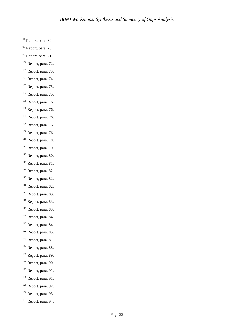Report, para. 69.

- Report, para. 70.
- Report, para. 71.
- Report, para. 72.
- Report, para. 73.
- Report, para. 74.
- Report, para. 75.
- Report, para. 75.
- Report, para. 76.
- Report, para. 76.
- Report, para. 76.
- Report, para. 76.
- Report, para. 76.
- Report, para. 78.
- Report, para. 79.
- Report, para. 80.
- Report, para. 81.
- Report, para. 82.
- Report, para. 82.
- Report, para. 82.
- Report, para. 83.
- Report, para. 83.
- Report, para. 83.
- Report, para. 84.
- Report, para. 84.
- Report, para. 85.
- Report, para. 87.
- Report, para. 88.
- Report, para. 89.
- Report, para. 90.
- Report, para. 91.
- Report, para. 91.
- Report, para. 92.
- <sup>130</sup> Report, para. 93.
- Report, para. 94.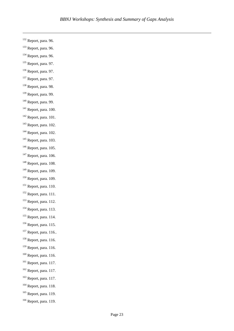Report, para. 96.

- Report, para. 96.
- Report, para. 96.
- <sup>135</sup> Report, para. 97.
- Report, para. 97.
- Report, para. 97.
- Report, para. 98.
- Report, para. 99.
- Report, para. 99.
- Report, para. 100.
- Report, para. 101.
- Report, para. 102.
- Report, para. 102.
- Report, para. 103.
- Report, para. 105.
- Report, para. 106.
- Report, para. 108.
- Report, para. 109.
- Report, para. 109.
- <sup>151</sup> Report, para. 110.
- Report, para. 111.
- Report, para. 112.
- Report, para. 113.
- Report, para. 114.
- Report, para. 115.
- <sup>157</sup> Report, para. 116..
- Report, para. 116.
- Report, para. 116.
- Report, para. 116.
- <sup>161</sup> Report, para. 117.
- Report, para. 117.
- Report, para. 117.
- Report, para. 118.
- Report, para. 119.
- Report, para. 119.